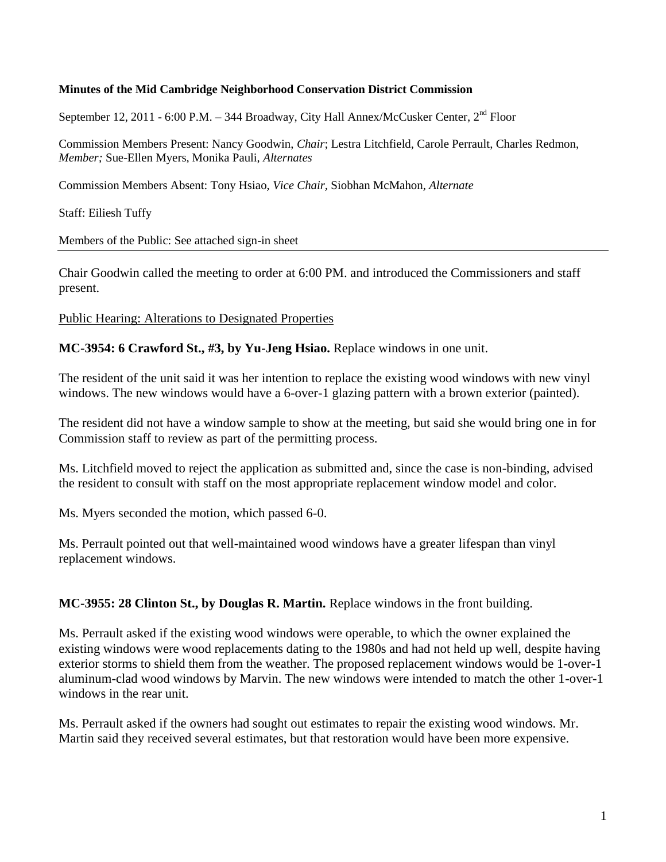#### **Minutes of the Mid Cambridge Neighborhood Conservation District Commission**

September 12, 2011 - 6:00 P.M. – 344 Broadway, City Hall Annex/McCusker Center, 2<sup>nd</sup> Floor

Commission Members Present: Nancy Goodwin, *Chair*; Lestra Litchfield, Carole Perrault, Charles Redmon, *Member;* Sue-Ellen Myers, Monika Pauli, *Alternates*

Commission Members Absent: Tony Hsiao, *Vice Chair,* Siobhan McMahon, *Alternate*

Staff: Eiliesh Tuffy

Members of the Public: See attached sign-in sheet

Chair Goodwin called the meeting to order at 6:00 PM. and introduced the Commissioners and staff present.

Public Hearing: Alterations to Designated Properties

**MC-3954: 6 Crawford St., #3, by Yu-Jeng Hsiao.** Replace windows in one unit.

The resident of the unit said it was her intention to replace the existing wood windows with new vinyl windows. The new windows would have a 6-over-1 glazing pattern with a brown exterior (painted).

The resident did not have a window sample to show at the meeting, but said she would bring one in for Commission staff to review as part of the permitting process.

Ms. Litchfield moved to reject the application as submitted and, since the case is non-binding, advised the resident to consult with staff on the most appropriate replacement window model and color.

Ms. Myers seconded the motion, which passed 6-0.

Ms. Perrault pointed out that well-maintained wood windows have a greater lifespan than vinyl replacement windows.

**MC-3955: 28 Clinton St., by Douglas R. Martin.** Replace windows in the front building.

Ms. Perrault asked if the existing wood windows were operable, to which the owner explained the existing windows were wood replacements dating to the 1980s and had not held up well, despite having exterior storms to shield them from the weather. The proposed replacement windows would be 1-over-1 aluminum-clad wood windows by Marvin. The new windows were intended to match the other 1-over-1 windows in the rear unit.

Ms. Perrault asked if the owners had sought out estimates to repair the existing wood windows. Mr. Martin said they received several estimates, but that restoration would have been more expensive.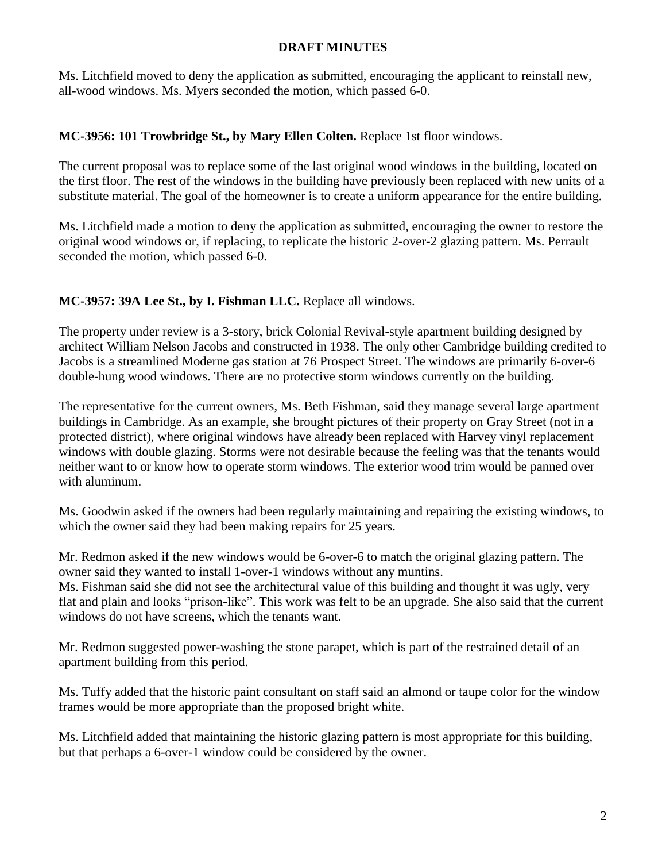Ms. Litchfield moved to deny the application as submitted, encouraging the applicant to reinstall new, all-wood windows. Ms. Myers seconded the motion, which passed 6-0.

#### **MC-3956: 101 Trowbridge St., by Mary Ellen Colten.** Replace 1st floor windows.

The current proposal was to replace some of the last original wood windows in the building, located on the first floor. The rest of the windows in the building have previously been replaced with new units of a substitute material. The goal of the homeowner is to create a uniform appearance for the entire building.

Ms. Litchfield made a motion to deny the application as submitted, encouraging the owner to restore the original wood windows or, if replacing, to replicate the historic 2-over-2 glazing pattern. Ms. Perrault seconded the motion, which passed 6-0.

### **MC-3957: 39A Lee St., by I. Fishman LLC.** Replace all windows.

The property under review is a 3-story, brick Colonial Revival-style apartment building designed by architect William Nelson Jacobs and constructed in 1938. The only other Cambridge building credited to Jacobs is a streamlined Moderne gas station at 76 Prospect Street. The windows are primarily 6-over-6 double-hung wood windows. There are no protective storm windows currently on the building.

The representative for the current owners, Ms. Beth Fishman, said they manage several large apartment buildings in Cambridge. As an example, she brought pictures of their property on Gray Street (not in a protected district), where original windows have already been replaced with Harvey vinyl replacement windows with double glazing. Storms were not desirable because the feeling was that the tenants would neither want to or know how to operate storm windows. The exterior wood trim would be panned over with aluminum.

Ms. Goodwin asked if the owners had been regularly maintaining and repairing the existing windows, to which the owner said they had been making repairs for 25 years.

Mr. Redmon asked if the new windows would be 6-over-6 to match the original glazing pattern. The owner said they wanted to install 1-over-1 windows without any muntins. Ms. Fishman said she did not see the architectural value of this building and thought it was ugly, very flat and plain and looks "prison-like". This work was felt to be an upgrade. She also said that the current windows do not have screens, which the tenants want.

Mr. Redmon suggested power-washing the stone parapet, which is part of the restrained detail of an apartment building from this period.

Ms. Tuffy added that the historic paint consultant on staff said an almond or taupe color for the window frames would be more appropriate than the proposed bright white.

Ms. Litchfield added that maintaining the historic glazing pattern is most appropriate for this building, but that perhaps a 6-over-1 window could be considered by the owner.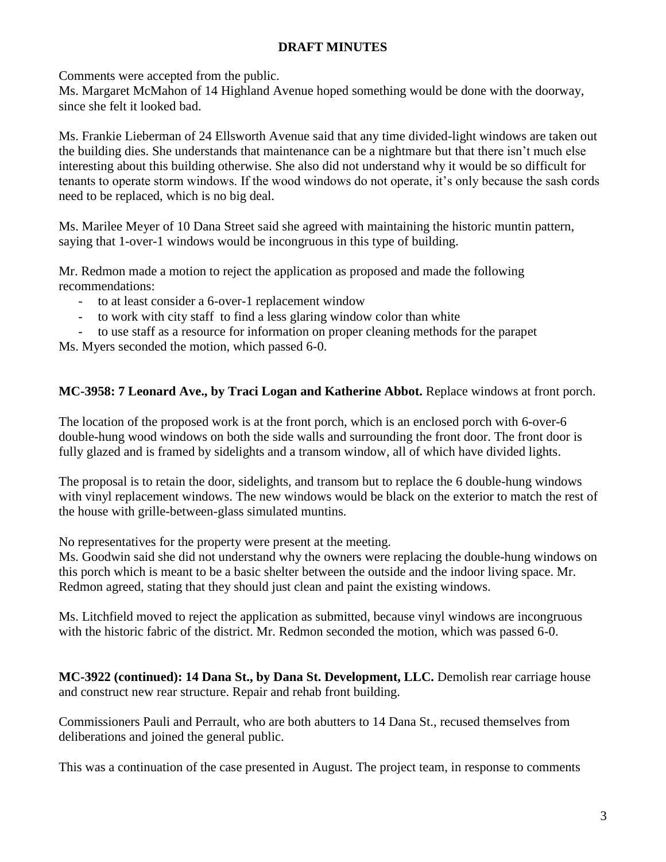Comments were accepted from the public.

Ms. Margaret McMahon of 14 Highland Avenue hoped something would be done with the doorway, since she felt it looked bad.

Ms. Frankie Lieberman of 24 Ellsworth Avenue said that any time divided-light windows are taken out the building dies. She understands that maintenance can be a nightmare but that there isn't much else interesting about this building otherwise. She also did not understand why it would be so difficult for tenants to operate storm windows. If the wood windows do not operate, it's only because the sash cords need to be replaced, which is no big deal.

Ms. Marilee Meyer of 10 Dana Street said she agreed with maintaining the historic muntin pattern, saying that 1-over-1 windows would be incongruous in this type of building.

Mr. Redmon made a motion to reject the application as proposed and made the following recommendations:

- to at least consider a 6-over-1 replacement window
- to work with city staff to find a less glaring window color than white

- to use staff as a resource for information on proper cleaning methods for the parapet

Ms. Myers seconded the motion, which passed 6-0.

# **MC-3958: 7 Leonard Ave., by Traci Logan and Katherine Abbot.** Replace windows at front porch.

The location of the proposed work is at the front porch, which is an enclosed porch with 6-over-6 double-hung wood windows on both the side walls and surrounding the front door. The front door is fully glazed and is framed by sidelights and a transom window, all of which have divided lights.

The proposal is to retain the door, sidelights, and transom but to replace the 6 double-hung windows with vinyl replacement windows. The new windows would be black on the exterior to match the rest of the house with grille-between-glass simulated muntins.

No representatives for the property were present at the meeting.

Ms. Goodwin said she did not understand why the owners were replacing the double-hung windows on this porch which is meant to be a basic shelter between the outside and the indoor living space. Mr. Redmon agreed, stating that they should just clean and paint the existing windows.

Ms. Litchfield moved to reject the application as submitted, because vinyl windows are incongruous with the historic fabric of the district. Mr. Redmon seconded the motion, which was passed 6-0.

**MC-3922 (continued): 14 Dana St., by Dana St. Development, LLC.** Demolish rear carriage house and construct new rear structure. Repair and rehab front building.

Commissioners Pauli and Perrault, who are both abutters to 14 Dana St., recused themselves from deliberations and joined the general public.

This was a continuation of the case presented in August. The project team, in response to comments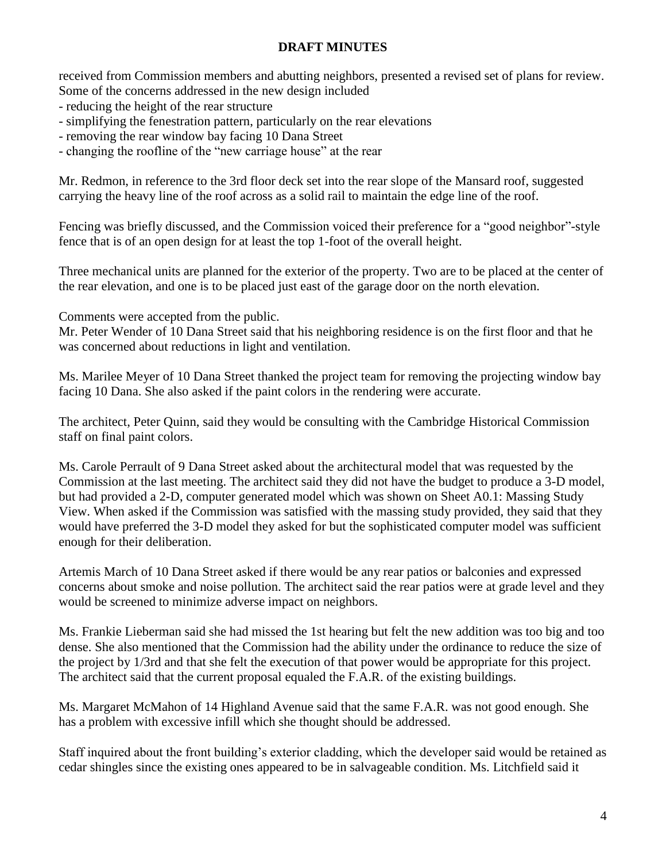received from Commission members and abutting neighbors, presented a revised set of plans for review. Some of the concerns addressed in the new design included

- reducing the height of the rear structure

- simplifying the fenestration pattern, particularly on the rear elevations
- removing the rear window bay facing 10 Dana Street
- changing the roofline of the "new carriage house" at the rear

Mr. Redmon, in reference to the 3rd floor deck set into the rear slope of the Mansard roof, suggested carrying the heavy line of the roof across as a solid rail to maintain the edge line of the roof.

Fencing was briefly discussed, and the Commission voiced their preference for a "good neighbor"-style fence that is of an open design for at least the top 1-foot of the overall height.

Three mechanical units are planned for the exterior of the property. Two are to be placed at the center of the rear elevation, and one is to be placed just east of the garage door on the north elevation.

Comments were accepted from the public.

Mr. Peter Wender of 10 Dana Street said that his neighboring residence is on the first floor and that he was concerned about reductions in light and ventilation.

Ms. Marilee Meyer of 10 Dana Street thanked the project team for removing the projecting window bay facing 10 Dana. She also asked if the paint colors in the rendering were accurate.

The architect, Peter Quinn, said they would be consulting with the Cambridge Historical Commission staff on final paint colors.

Ms. Carole Perrault of 9 Dana Street asked about the architectural model that was requested by the Commission at the last meeting. The architect said they did not have the budget to produce a 3-D model, but had provided a 2-D, computer generated model which was shown on Sheet A0.1: Massing Study View. When asked if the Commission was satisfied with the massing study provided, they said that they would have preferred the 3-D model they asked for but the sophisticated computer model was sufficient enough for their deliberation.

Artemis March of 10 Dana Street asked if there would be any rear patios or balconies and expressed concerns about smoke and noise pollution. The architect said the rear patios were at grade level and they would be screened to minimize adverse impact on neighbors.

Ms. Frankie Lieberman said she had missed the 1st hearing but felt the new addition was too big and too dense. She also mentioned that the Commission had the ability under the ordinance to reduce the size of the project by 1/3rd and that she felt the execution of that power would be appropriate for this project. The architect said that the current proposal equaled the F.A.R. of the existing buildings.

Ms. Margaret McMahon of 14 Highland Avenue said that the same F.A.R. was not good enough. She has a problem with excessive infill which she thought should be addressed.

Staff inquired about the front building's exterior cladding, which the developer said would be retained as cedar shingles since the existing ones appeared to be in salvageable condition. Ms. Litchfield said it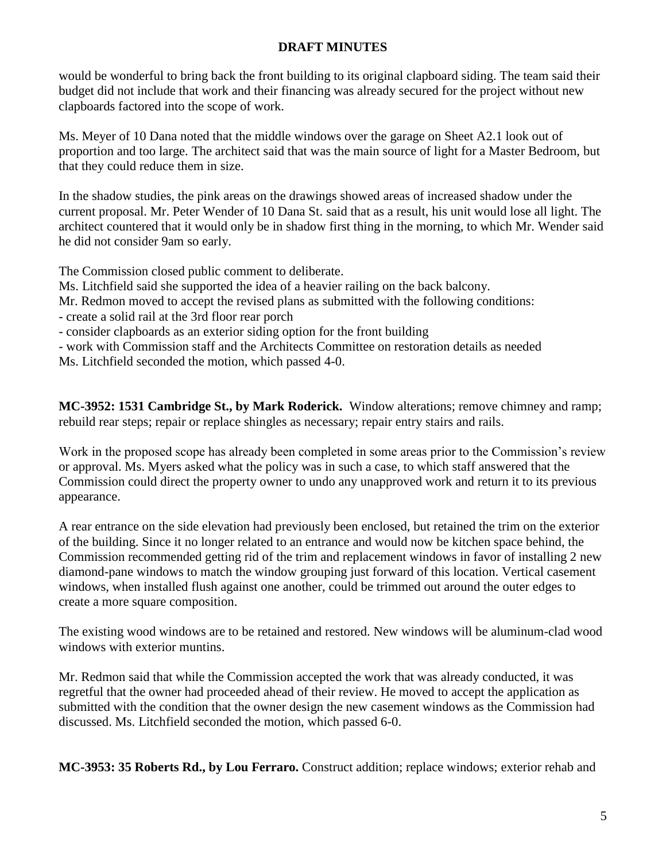would be wonderful to bring back the front building to its original clapboard siding. The team said their budget did not include that work and their financing was already secured for the project without new clapboards factored into the scope of work.

Ms. Meyer of 10 Dana noted that the middle windows over the garage on Sheet A2.1 look out of proportion and too large. The architect said that was the main source of light for a Master Bedroom, but that they could reduce them in size.

In the shadow studies, the pink areas on the drawings showed areas of increased shadow under the current proposal. Mr. Peter Wender of 10 Dana St. said that as a result, his unit would lose all light. The architect countered that it would only be in shadow first thing in the morning, to which Mr. Wender said he did not consider 9am so early.

The Commission closed public comment to deliberate.

Ms. Litchfield said she supported the idea of a heavier railing on the back balcony.

Mr. Redmon moved to accept the revised plans as submitted with the following conditions:

- create a solid rail at the 3rd floor rear porch

- consider clapboards as an exterior siding option for the front building

- work with Commission staff and the Architects Committee on restoration details as needed

Ms. Litchfield seconded the motion, which passed 4-0.

**MC-3952: 1531 Cambridge St., by Mark Roderick.** Window alterations; remove chimney and ramp; rebuild rear steps; repair or replace shingles as necessary; repair entry stairs and rails.

Work in the proposed scope has already been completed in some areas prior to the Commission's review or approval. Ms. Myers asked what the policy was in such a case, to which staff answered that the Commission could direct the property owner to undo any unapproved work and return it to its previous appearance.

A rear entrance on the side elevation had previously been enclosed, but retained the trim on the exterior of the building. Since it no longer related to an entrance and would now be kitchen space behind, the Commission recommended getting rid of the trim and replacement windows in favor of installing 2 new diamond-pane windows to match the window grouping just forward of this location. Vertical casement windows, when installed flush against one another, could be trimmed out around the outer edges to create a more square composition.

The existing wood windows are to be retained and restored. New windows will be aluminum-clad wood windows with exterior muntins.

Mr. Redmon said that while the Commission accepted the work that was already conducted, it was regretful that the owner had proceeded ahead of their review. He moved to accept the application as submitted with the condition that the owner design the new casement windows as the Commission had discussed. Ms. Litchfield seconded the motion, which passed 6-0.

**MC-3953: 35 Roberts Rd., by Lou Ferraro.** Construct addition; replace windows; exterior rehab and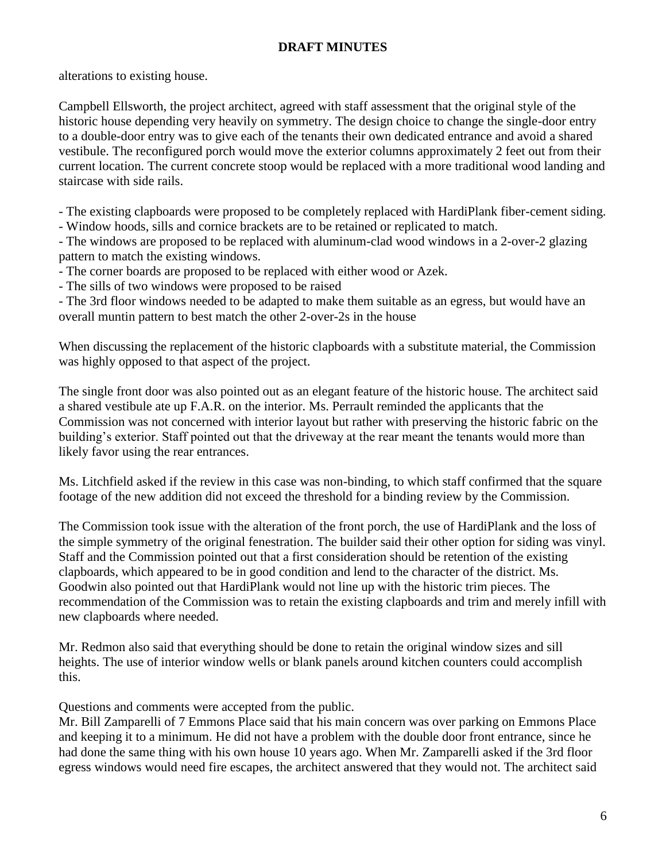alterations to existing house.

Campbell Ellsworth, the project architect, agreed with staff assessment that the original style of the historic house depending very heavily on symmetry. The design choice to change the single-door entry to a double-door entry was to give each of the tenants their own dedicated entrance and avoid a shared vestibule. The reconfigured porch would move the exterior columns approximately 2 feet out from their current location. The current concrete stoop would be replaced with a more traditional wood landing and staircase with side rails.

- The existing clapboards were proposed to be completely replaced with HardiPlank fiber-cement siding.

- Window hoods, sills and cornice brackets are to be retained or replicated to match.

- The windows are proposed to be replaced with aluminum-clad wood windows in a 2-over-2 glazing pattern to match the existing windows.

- The corner boards are proposed to be replaced with either wood or Azek.

- The sills of two windows were proposed to be raised

- The 3rd floor windows needed to be adapted to make them suitable as an egress, but would have an overall muntin pattern to best match the other 2-over-2s in the house

When discussing the replacement of the historic clapboards with a substitute material, the Commission was highly opposed to that aspect of the project.

The single front door was also pointed out as an elegant feature of the historic house. The architect said a shared vestibule ate up F.A.R. on the interior. Ms. Perrault reminded the applicants that the Commission was not concerned with interior layout but rather with preserving the historic fabric on the building's exterior. Staff pointed out that the driveway at the rear meant the tenants would more than likely favor using the rear entrances.

Ms. Litchfield asked if the review in this case was non-binding, to which staff confirmed that the square footage of the new addition did not exceed the threshold for a binding review by the Commission.

The Commission took issue with the alteration of the front porch, the use of HardiPlank and the loss of the simple symmetry of the original fenestration. The builder said their other option for siding was vinyl. Staff and the Commission pointed out that a first consideration should be retention of the existing clapboards, which appeared to be in good condition and lend to the character of the district. Ms. Goodwin also pointed out that HardiPlank would not line up with the historic trim pieces. The recommendation of the Commission was to retain the existing clapboards and trim and merely infill with new clapboards where needed.

Mr. Redmon also said that everything should be done to retain the original window sizes and sill heights. The use of interior window wells or blank panels around kitchen counters could accomplish this.

Questions and comments were accepted from the public.

Mr. Bill Zamparelli of 7 Emmons Place said that his main concern was over parking on Emmons Place and keeping it to a minimum. He did not have a problem with the double door front entrance, since he had done the same thing with his own house 10 years ago. When Mr. Zamparelli asked if the 3rd floor egress windows would need fire escapes, the architect answered that they would not. The architect said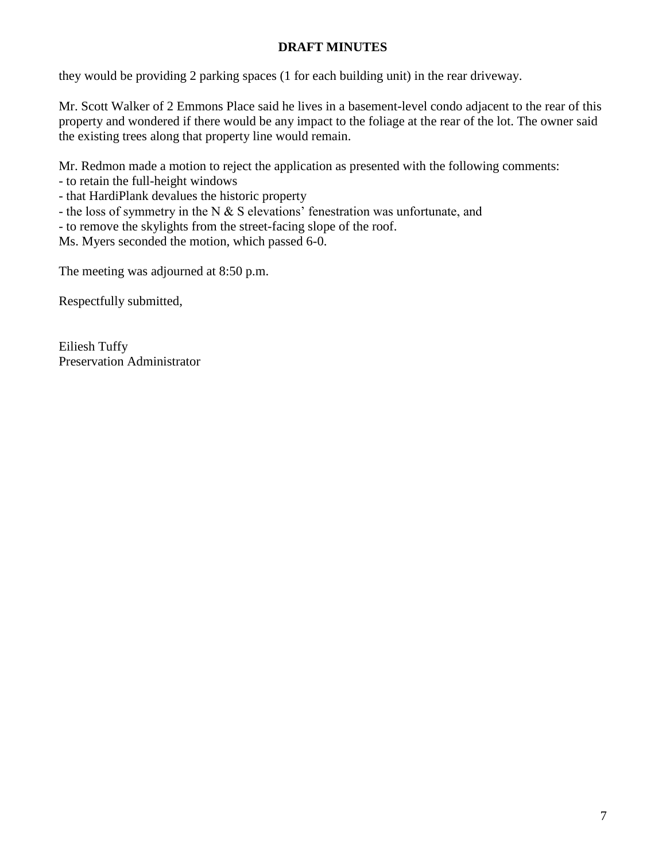they would be providing 2 parking spaces (1 for each building unit) in the rear driveway.

Mr. Scott Walker of 2 Emmons Place said he lives in a basement-level condo adjacent to the rear of this property and wondered if there would be any impact to the foliage at the rear of the lot. The owner said the existing trees along that property line would remain.

Mr. Redmon made a motion to reject the application as presented with the following comments:

- to retain the full-height windows

- that HardiPlank devalues the historic property

- the loss of symmetry in the N  $&$  S elevations' fenestration was unfortunate, and

- to remove the skylights from the street-facing slope of the roof.

Ms. Myers seconded the motion, which passed 6-0.

The meeting was adjourned at 8:50 p.m.

Respectfully submitted,

Eiliesh Tuffy Preservation Administrator